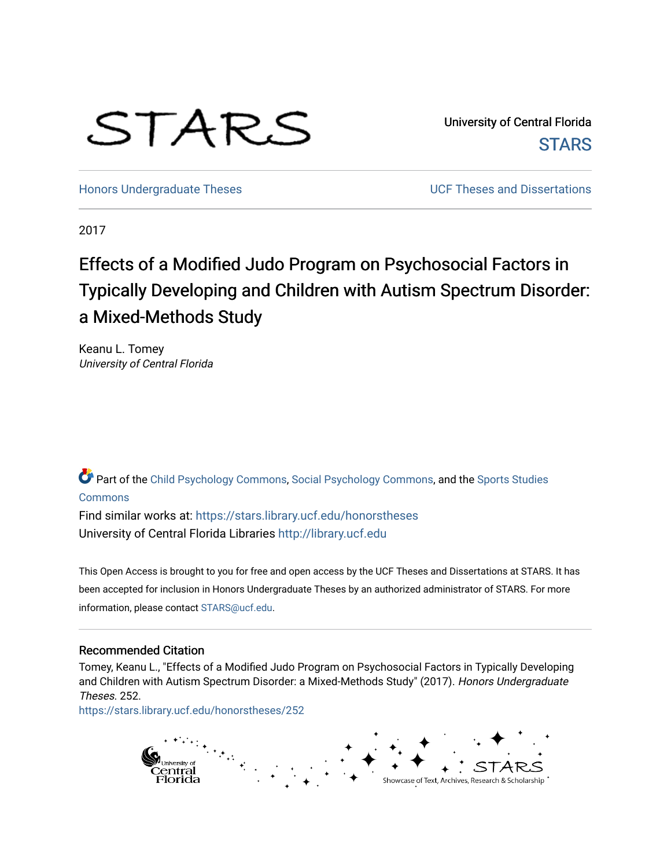# STARS

University of Central Florida **STARS** 

[Honors Undergraduate Theses](https://stars.library.ucf.edu/honorstheses) **No. 2018** UCF Theses and Dissertations

2017

# Effects of a Modified Judo Program on Psychosocial Factors in Typically Developing and Children with Autism Spectrum Disorder: a Mixed-Methods Study

Keanu L. Tomey University of Central Florida

Part of the [Child Psychology Commons,](http://network.bepress.com/hgg/discipline/1023?utm_source=stars.library.ucf.edu%2Fhonorstheses%2F252&utm_medium=PDF&utm_campaign=PDFCoverPages) [Social Psychology Commons,](http://network.bepress.com/hgg/discipline/414?utm_source=stars.library.ucf.edu%2Fhonorstheses%2F252&utm_medium=PDF&utm_campaign=PDFCoverPages) and the [Sports Studies](http://network.bepress.com/hgg/discipline/1198?utm_source=stars.library.ucf.edu%2Fhonorstheses%2F252&utm_medium=PDF&utm_campaign=PDFCoverPages)  [Commons](http://network.bepress.com/hgg/discipline/1198?utm_source=stars.library.ucf.edu%2Fhonorstheses%2F252&utm_medium=PDF&utm_campaign=PDFCoverPages)

Find similar works at: <https://stars.library.ucf.edu/honorstheses> University of Central Florida Libraries [http://library.ucf.edu](http://library.ucf.edu/) 

This Open Access is brought to you for free and open access by the UCF Theses and Dissertations at STARS. It has been accepted for inclusion in Honors Undergraduate Theses by an authorized administrator of STARS. For more information, please contact [STARS@ucf.edu.](mailto:STARS@ucf.edu)

## Recommended Citation

Tomey, Keanu L., "Effects of a Modified Judo Program on Psychosocial Factors in Typically Developing and Children with Autism Spectrum Disorder: a Mixed-Methods Study" (2017). Honors Undergraduate Theses. 252.

[https://stars.library.ucf.edu/honorstheses/252](https://stars.library.ucf.edu/honorstheses/252?utm_source=stars.library.ucf.edu%2Fhonorstheses%2F252&utm_medium=PDF&utm_campaign=PDFCoverPages) 

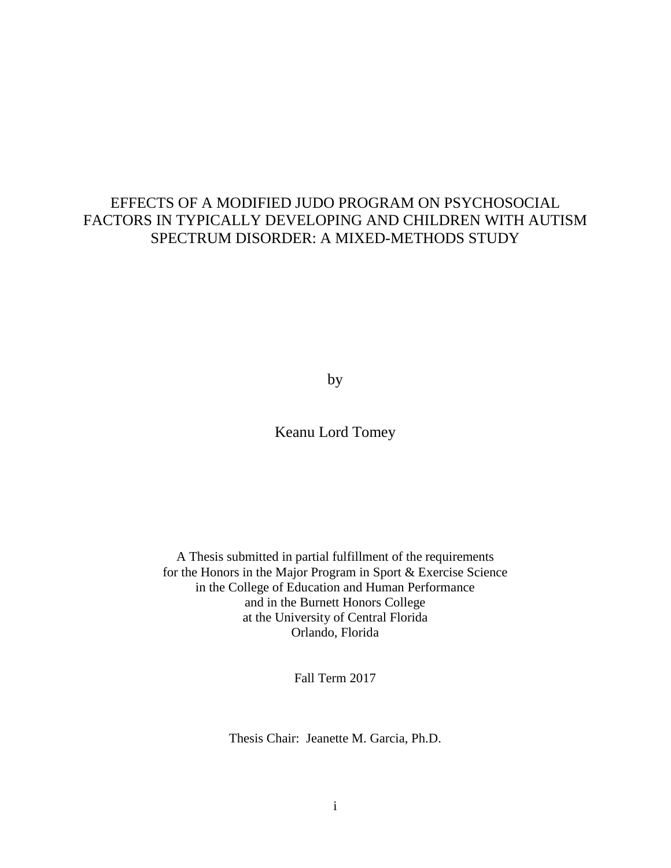# EFFECTS OF A MODIFIED JUDO PROGRAM ON PSYCHOSOCIAL FACTORS IN TYPICALLY DEVELOPING AND CHILDREN WITH AUTISM SPECTRUM DISORDER: A MIXED-METHODS STUDY

by

Keanu Lord Tomey

A Thesis submitted in partial fulfillment of the requirements for the Honors in the Major Program in Sport & Exercise Science in the College of Education and Human Performance and in the Burnett Honors College at the University of Central Florida Orlando, Florida

Fall Term 2017

Thesis Chair: Jeanette M. Garcia, Ph.D.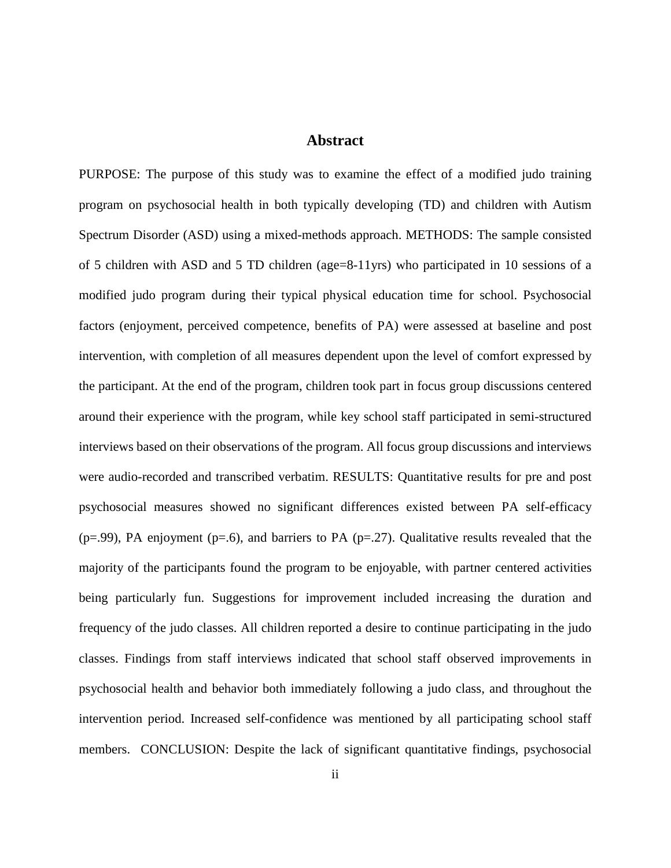# **Abstract**

PURPOSE: The purpose of this study was to examine the effect of a modified judo training program on psychosocial health in both typically developing (TD) and children with Autism Spectrum Disorder (ASD) using a mixed-methods approach. METHODS: The sample consisted of 5 children with ASD and 5 TD children (age=8-11yrs) who participated in 10 sessions of a modified judo program during their typical physical education time for school. Psychosocial factors (enjoyment, perceived competence, benefits of PA) were assessed at baseline and post intervention, with completion of all measures dependent upon the level of comfort expressed by the participant. At the end of the program, children took part in focus group discussions centered around their experience with the program, while key school staff participated in semi-structured interviews based on their observations of the program. All focus group discussions and interviews were audio-recorded and transcribed verbatim. RESULTS: Quantitative results for pre and post psychosocial measures showed no significant differences existed between PA self-efficacy  $(p=0.99)$ , PA enjoyment  $(p=0.6)$ , and barriers to PA  $(p=0.27)$ . Qualitative results revealed that the majority of the participants found the program to be enjoyable, with partner centered activities being particularly fun. Suggestions for improvement included increasing the duration and frequency of the judo classes. All children reported a desire to continue participating in the judo classes. Findings from staff interviews indicated that school staff observed improvements in psychosocial health and behavior both immediately following a judo class, and throughout the intervention period. Increased self-confidence was mentioned by all participating school staff members. CONCLUSION: Despite the lack of significant quantitative findings, psychosocial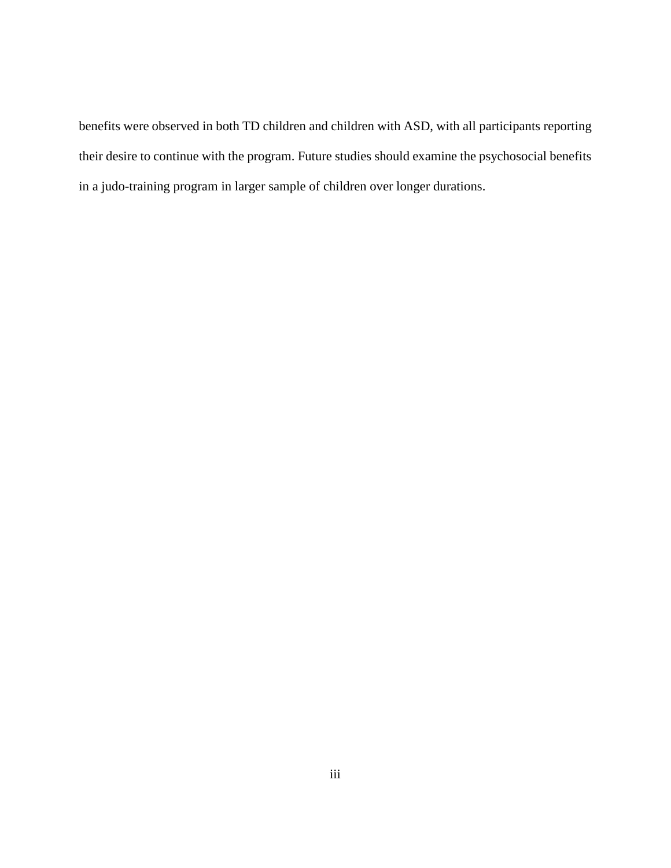benefits were observed in both TD children and children with ASD, with all participants reporting their desire to continue with the program. Future studies should examine the psychosocial benefits in a judo-training program in larger sample of children over longer durations.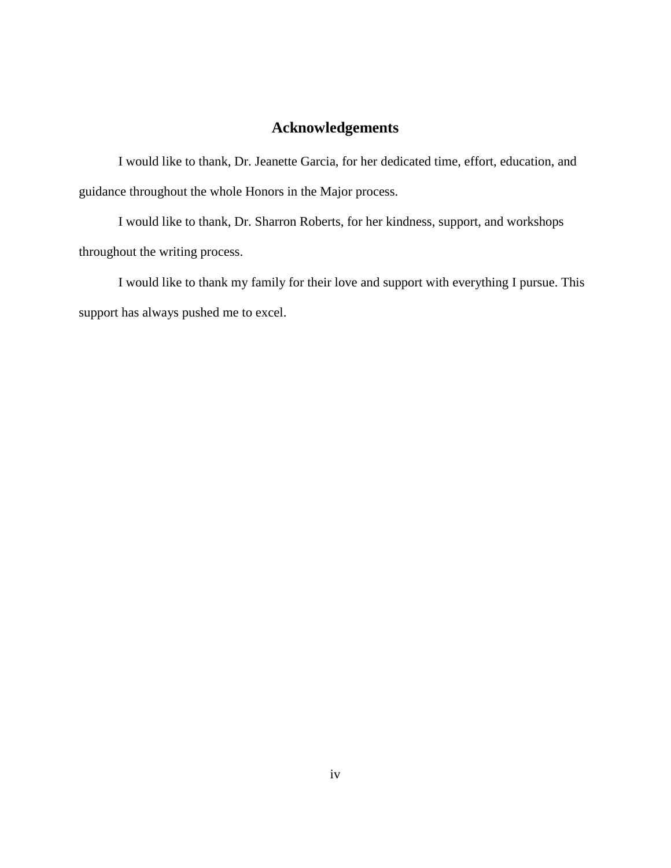# **Acknowledgements**

I would like to thank, Dr. Jeanette Garcia, for her dedicated time, effort, education, and guidance throughout the whole Honors in the Major process.

I would like to thank, Dr. Sharron Roberts, for her kindness, support, and workshops throughout the writing process.

I would like to thank my family for their love and support with everything I pursue. This support has always pushed me to excel.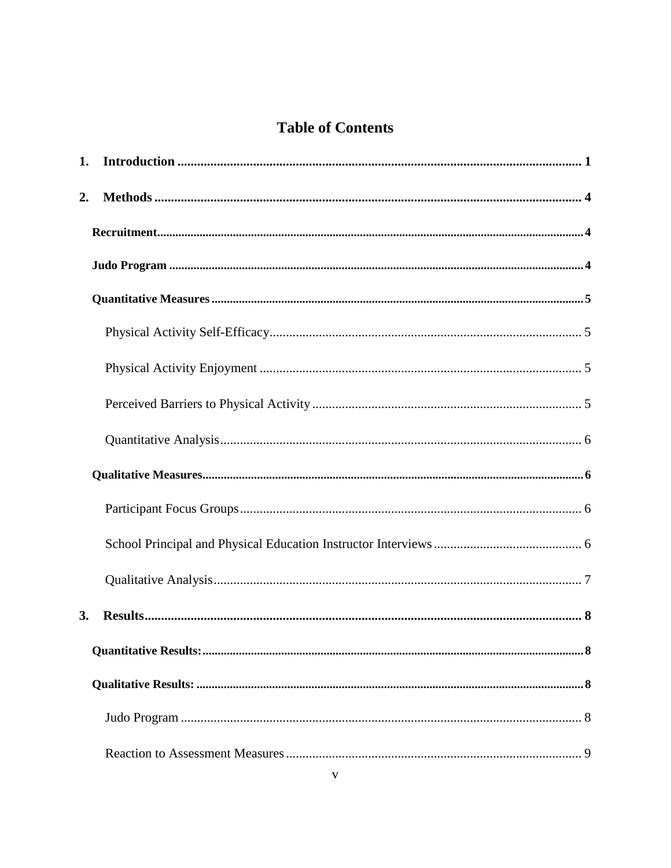# **Table of Contents**

| 1. |  |
|----|--|
| 2. |  |
|    |  |
|    |  |
|    |  |
|    |  |
|    |  |
|    |  |
|    |  |
|    |  |
|    |  |
|    |  |
|    |  |
| 3. |  |
|    |  |
|    |  |
|    |  |
|    |  |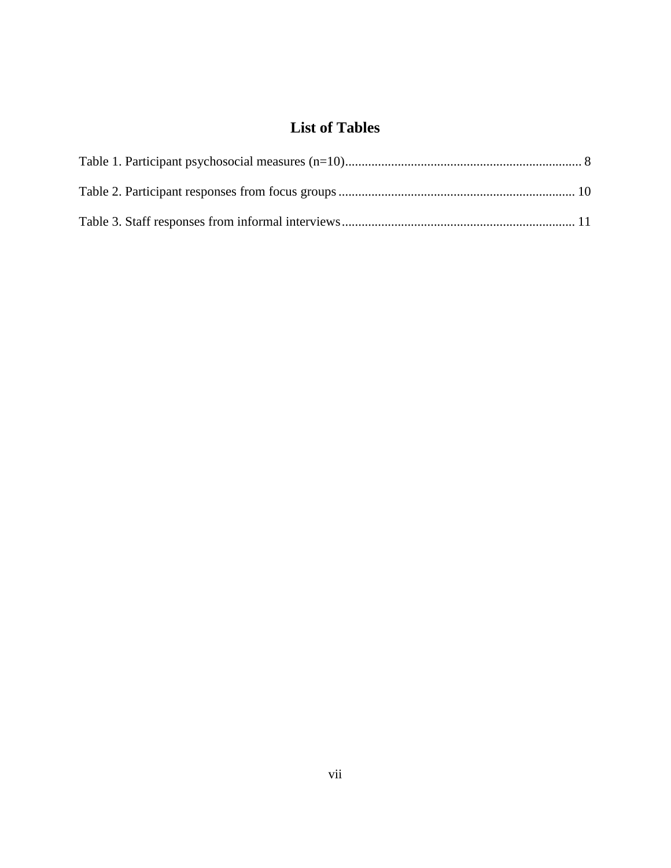# **List of Tables**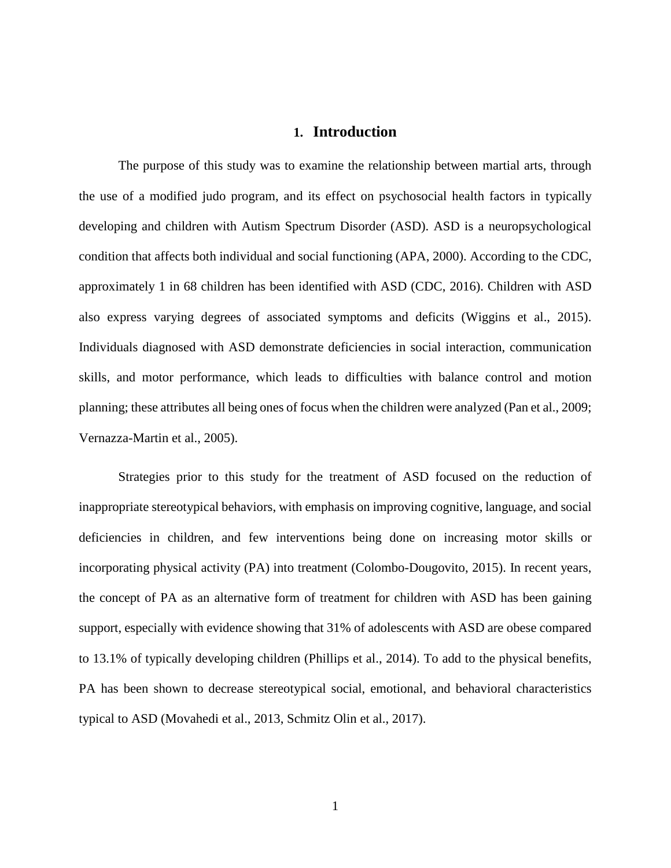### **1. Introduction**

<span id="page-8-0"></span>The purpose of this study was to examine the relationship between martial arts, through the use of a modified judo program, and its effect on psychosocial health factors in typically developing and children with Autism Spectrum Disorder (ASD). ASD is a neuropsychological condition that affects both individual and social functioning (APA, 2000). According to the CDC, approximately 1 in 68 children has been identified with ASD (CDC, 2016). Children with ASD also express varying degrees of associated symptoms and deficits (Wiggins et al., 2015). Individuals diagnosed with ASD demonstrate deficiencies in social interaction, communication skills, and motor performance, which leads to difficulties with balance control and motion planning; these attributes all being ones of focus when the children were analyzed (Pan et al., 2009; Vernazza-Martin et al., 2005).

Strategies prior to this study for the treatment of ASD focused on the reduction of inappropriate stereotypical behaviors, with emphasis on improving cognitive, language, and social deficiencies in children, and few interventions being done on increasing motor skills or incorporating physical activity (PA) into treatment (Colombo-Dougovito, 2015). In recent years, the concept of PA as an alternative form of treatment for children with ASD has been gaining support, especially with evidence showing that 31% of adolescents with ASD are obese compared to 13.1% of typically developing children (Phillips et al., 2014). To add to the physical benefits, PA has been shown to decrease stereotypical social, emotional, and behavioral characteristics typical to ASD (Movahedi et al., 2013, Schmitz Olin et al., 2017).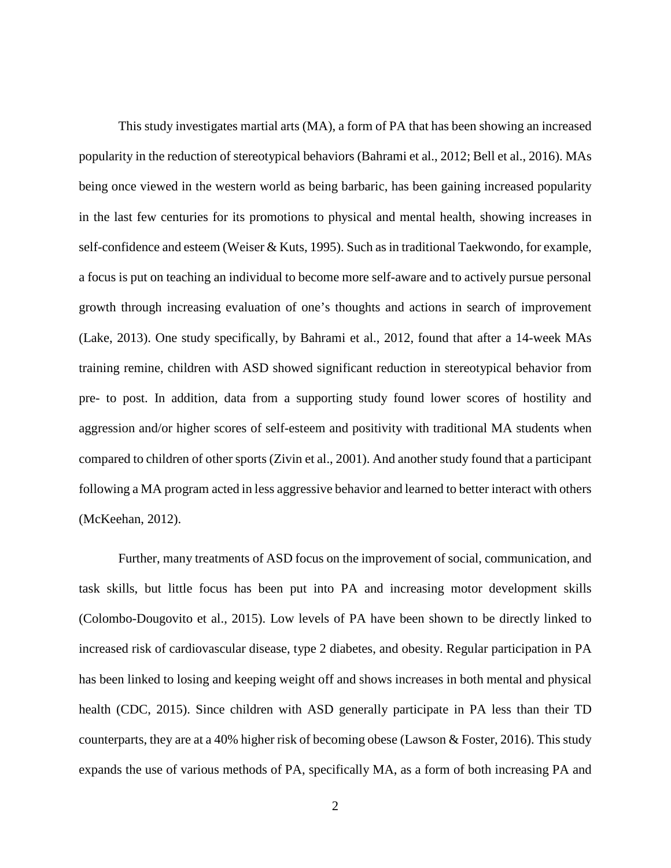This study investigates martial arts (MA), a form of PA that has been showing an increased popularity in the reduction of stereotypical behaviors (Bahrami et al., 2012; Bell et al., 2016). MAs being once viewed in the western world as being barbaric, has been gaining increased popularity in the last few centuries for its promotions to physical and mental health, showing increases in self-confidence and esteem (Weiser & Kuts, 1995). Such as in traditional Taekwondo, for example, a focus is put on teaching an individual to become more self-aware and to actively pursue personal growth through increasing evaluation of one's thoughts and actions in search of improvement (Lake, 2013). One study specifically, by Bahrami et al., 2012, found that after a 14-week MAs training remine, children with ASD showed significant reduction in stereotypical behavior from pre- to post. In addition, data from a supporting study found lower scores of hostility and aggression and/or higher scores of self-esteem and positivity with traditional MA students when compared to children of other sports (Zivin et al., 2001). And another study found that a participant following a MA program acted in less aggressive behavior and learned to better interact with others (McKeehan, 2012).

Further, many treatments of ASD focus on the improvement of social, communication, and task skills, but little focus has been put into PA and increasing motor development skills (Colombo-Dougovito et al., 2015). Low levels of PA have been shown to be directly linked to increased risk of cardiovascular disease, type 2 diabetes, and obesity. Regular participation in PA has been linked to losing and keeping weight off and shows increases in both mental and physical health (CDC, 2015). Since children with ASD generally participate in PA less than their TD counterparts, they are at a 40% higher risk of becoming obese (Lawson & Foster, 2016). This study expands the use of various methods of PA, specifically MA, as a form of both increasing PA and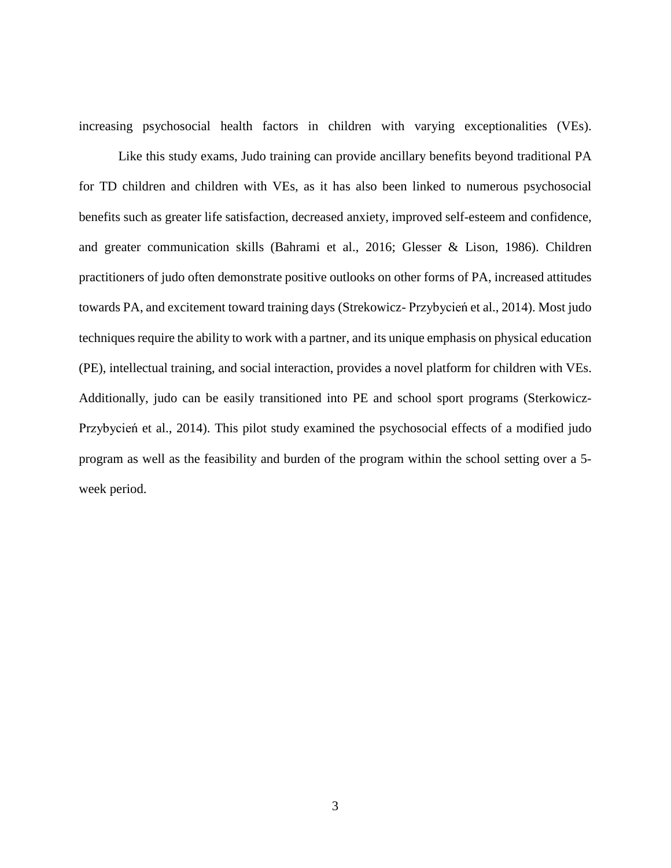increasing psychosocial health factors in children with varying exceptionalities (VEs).

Like this study exams, Judo training can provide ancillary benefits beyond traditional PA for TD children and children with VEs, as it has also been linked to numerous psychosocial benefits such as greater life satisfaction, decreased anxiety, improved self-esteem and confidence, and greater communication skills (Bahrami et al., 2016; Glesser & Lison, 1986). Children practitioners of judo often demonstrate positive outlooks on other forms of PA, increased attitudes towards PA, and excitement toward training days (Strekowicz- Przybycień et al., 2014). Most judo techniques require the ability to work with a partner, and its unique emphasis on physical education (PE), intellectual training, and social interaction, provides a novel platform for children with VEs. Additionally, judo can be easily transitioned into PE and school sport programs (Sterkowicz-Przybycień et al., 2014). This pilot study examined the psychosocial effects of a modified judo program as well as the feasibility and burden of the program within the school setting over a 5 week period.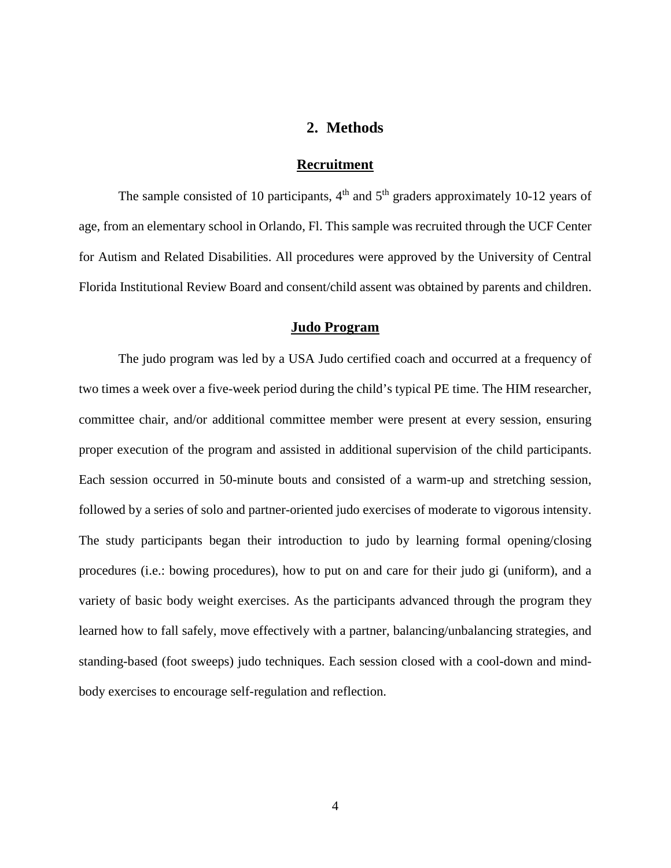# **2. Methods**

#### **Recruitment**

<span id="page-11-1"></span><span id="page-11-0"></span>The sample consisted of 10 participants,  $4<sup>th</sup>$  and  $5<sup>th</sup>$  graders approximately 10-12 years of age, from an elementary school in Orlando, Fl. This sample was recruited through the UCF Center for Autism and Related Disabilities. All procedures were approved by the University of Central Florida Institutional Review Board and consent/child assent was obtained by parents and children.

#### **Judo Program**

<span id="page-11-2"></span>The judo program was led by a USA Judo certified coach and occurred at a frequency of two times a week over a five-week period during the child's typical PE time. The HIM researcher, committee chair, and/or additional committee member were present at every session, ensuring proper execution of the program and assisted in additional supervision of the child participants. Each session occurred in 50-minute bouts and consisted of a warm-up and stretching session, followed by a series of solo and partner-oriented judo exercises of moderate to vigorous intensity. The study participants began their introduction to judo by learning formal opening/closing procedures (i.e.: bowing procedures), how to put on and care for their judo gi (uniform), and a variety of basic body weight exercises. As the participants advanced through the program they learned how to fall safely, move effectively with a partner, balancing/unbalancing strategies, and standing-based (foot sweeps) judo techniques. Each session closed with a cool-down and mindbody exercises to encourage self-regulation and reflection.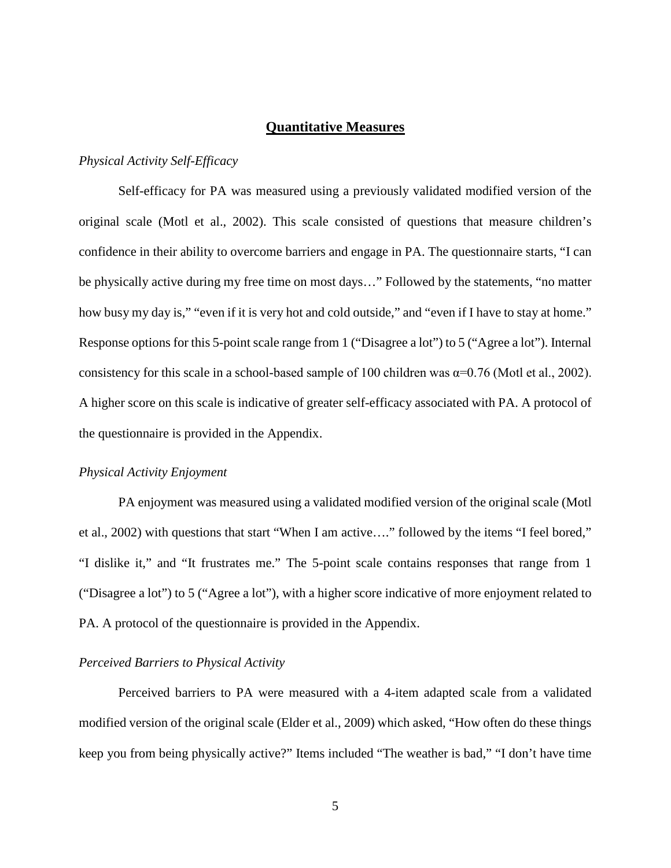#### **Quantitative Measures**

#### <span id="page-12-1"></span><span id="page-12-0"></span>*Physical Activity Self-Efficacy*

Self-efficacy for PA was measured using a previously validated modified version of the original scale (Motl et al., 2002). This scale consisted of questions that measure children's confidence in their ability to overcome barriers and engage in PA. The questionnaire starts, "I can be physically active during my free time on most days…" Followed by the statements, "no matter how busy my day is," "even if it is very hot and cold outside," and "even if I have to stay at home." Response options for this 5-point scale range from 1 ("Disagree a lot") to 5 ("Agree a lot"). Internal consistency for this scale in a school-based sample of 100 children was  $\alpha$ =0.76 (Motl et al., 2002). A higher score on this scale is indicative of greater self-efficacy associated with PA. A protocol of the questionnaire is provided in the Appendix.

#### <span id="page-12-2"></span>*Physical Activity Enjoyment*

PA enjoyment was measured using a validated modified version of the original scale (Motl et al., 2002) with questions that start "When I am active…." followed by the items "I feel bored," "I dislike it," and "It frustrates me." The 5-point scale contains responses that range from 1 ("Disagree a lot") to 5 ("Agree a lot"), with a higher score indicative of more enjoyment related to PA. A protocol of the questionnaire is provided in the Appendix.

#### <span id="page-12-3"></span>*Perceived Barriers to Physical Activity*

Perceived barriers to PA were measured with a 4-item adapted scale from a validated modified version of the original scale (Elder et al., 2009) which asked, "How often do these things keep you from being physically active?" Items included "The weather is bad," "I don't have time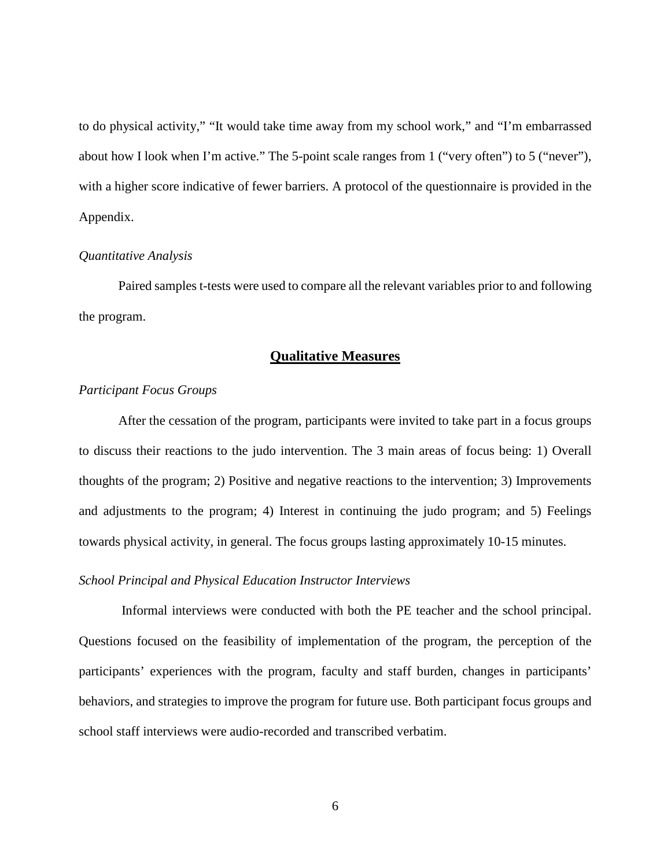to do physical activity," "It would take time away from my school work," and "I'm embarrassed about how I look when I'm active." The 5-point scale ranges from 1 ("very often") to 5 ("never"), with a higher score indicative of fewer barriers. A protocol of the questionnaire is provided in the Appendix.

#### <span id="page-13-0"></span>*Quantitative Analysis*

Paired samples t-tests were used to compare all the relevant variables prior to and following the program.

#### **Qualitative Measures**

#### <span id="page-13-2"></span><span id="page-13-1"></span>*Participant Focus Groups*

After the cessation of the program, participants were invited to take part in a focus groups to discuss their reactions to the judo intervention. The 3 main areas of focus being: 1) Overall thoughts of the program; 2) Positive and negative reactions to the intervention; 3) Improvements and adjustments to the program; 4) Interest in continuing the judo program; and 5) Feelings towards physical activity, in general. The focus groups lasting approximately 10-15 minutes.

#### <span id="page-13-3"></span>*School Principal and Physical Education Instructor Interviews*

Informal interviews were conducted with both the PE teacher and the school principal. Questions focused on the feasibility of implementation of the program, the perception of the participants' experiences with the program, faculty and staff burden, changes in participants' behaviors, and strategies to improve the program for future use. Both participant focus groups and school staff interviews were audio-recorded and transcribed verbatim.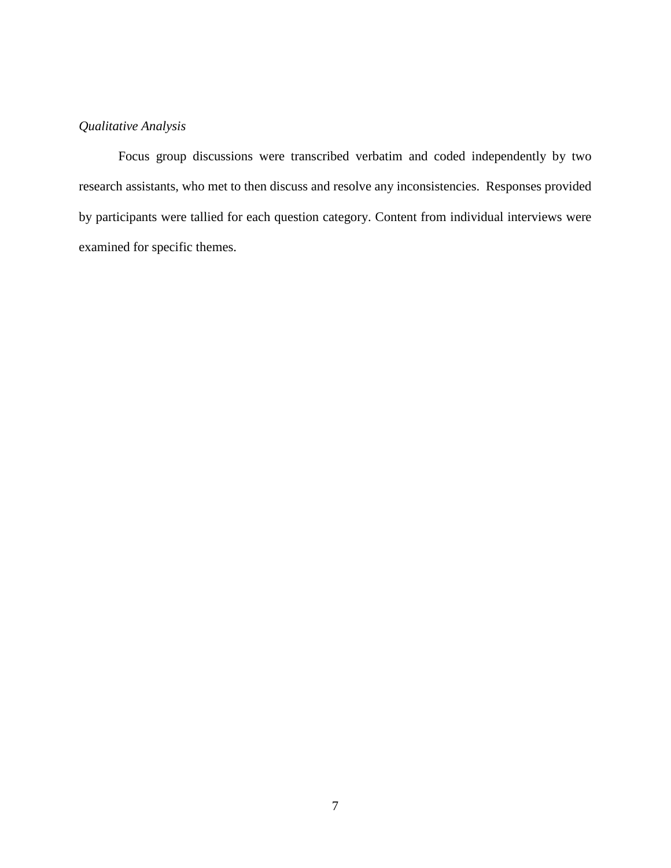# <span id="page-14-0"></span>*Qualitative Analysis*

Focus group discussions were transcribed verbatim and coded independently by two research assistants, who met to then discuss and resolve any inconsistencies. Responses provided by participants were tallied for each question category. Content from individual interviews were examined for specific themes.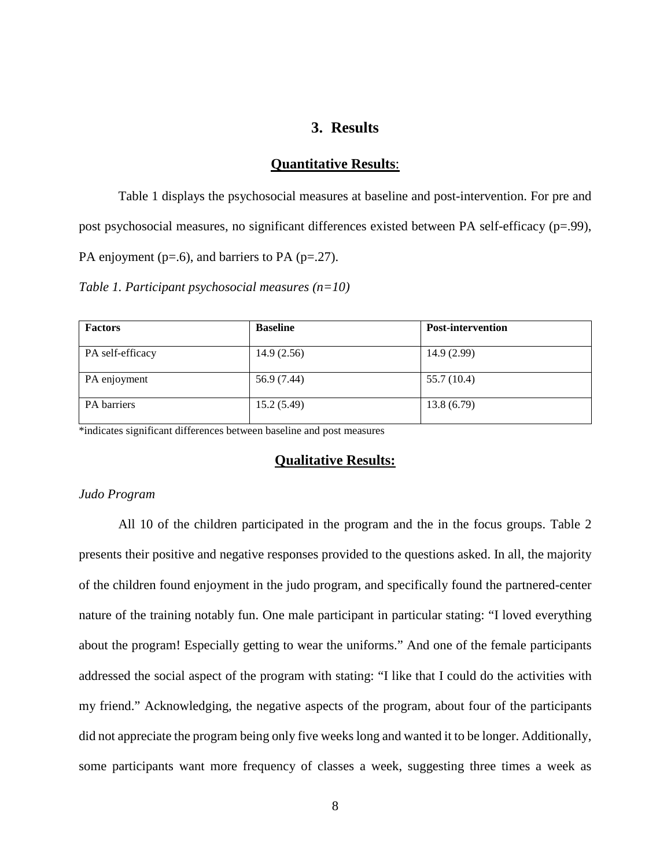# **3. Results**

#### **Quantitative Results**:

<span id="page-15-1"></span><span id="page-15-0"></span>Table 1 displays the psychosocial measures at baseline and post-intervention. For pre and post psychosocial measures, no significant differences existed between PA self-efficacy (p=.99), PA enjoyment ( $p=0.6$ ), and barriers to PA ( $p=0.27$ ).

<span id="page-15-4"></span>*Table 1. Participant psychosocial measures (n=10)*

| <b>Factors</b>   | <b>Baseline</b> | <b>Post-intervention</b> |
|------------------|-----------------|--------------------------|
| PA self-efficacy | 14.9(2.56)      | 14.9(2.99)               |
| PA enjoyment     | 56.9 (7.44)     | 55.7 (10.4)              |
| PA barriers      | 15.2(5.49)      | 13.8(6.79)               |

<span id="page-15-2"></span>\*indicates significant differences between baseline and post measures

#### **Qualitative Results:**

#### <span id="page-15-3"></span>*Judo Program*

All 10 of the children participated in the program and the in the focus groups. Table 2 presents their positive and negative responses provided to the questions asked. In all, the majority of the children found enjoyment in the judo program, and specifically found the partnered-center nature of the training notably fun. One male participant in particular stating: "I loved everything about the program! Especially getting to wear the uniforms." And one of the female participants addressed the social aspect of the program with stating: "I like that I could do the activities with my friend." Acknowledging, the negative aspects of the program, about four of the participants did not appreciate the program being only five weeks long and wanted it to be longer. Additionally, some participants want more frequency of classes a week, suggesting three times a week as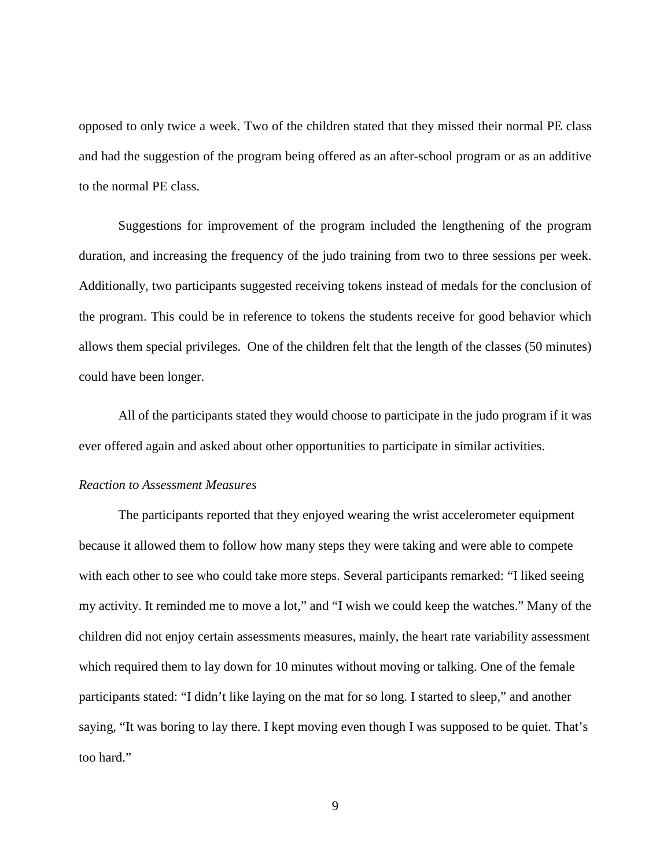opposed to only twice a week. Two of the children stated that they missed their normal PE class and had the suggestion of the program being offered as an after-school program or as an additive to the normal PE class.

Suggestions for improvement of the program included the lengthening of the program duration, and increasing the frequency of the judo training from two to three sessions per week. Additionally, two participants suggested receiving tokens instead of medals for the conclusion of the program. This could be in reference to tokens the students receive for good behavior which allows them special privileges. One of the children felt that the length of the classes (50 minutes) could have been longer.

All of the participants stated they would choose to participate in the judo program if it was ever offered again and asked about other opportunities to participate in similar activities.

#### <span id="page-16-0"></span>*Reaction to Assessment Measures*

The participants reported that they enjoyed wearing the wrist accelerometer equipment because it allowed them to follow how many steps they were taking and were able to compete with each other to see who could take more steps. Several participants remarked: "I liked seeing my activity. It reminded me to move a lot," and "I wish we could keep the watches." Many of the children did not enjoy certain assessments measures, mainly, the heart rate variability assessment which required them to lay down for 10 minutes without moving or talking. One of the female participants stated: "I didn't like laying on the mat for so long. I started to sleep," and another saying, "It was boring to lay there. I kept moving even though I was supposed to be quiet. That's too hard."

9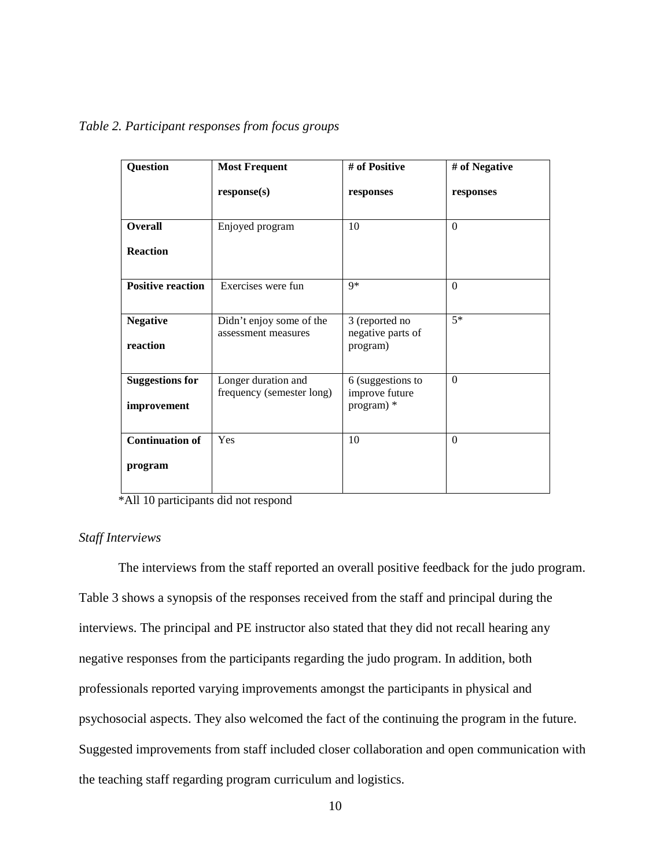| <b>Question</b>                       | <b>Most Frequent</b>                             | # of Positive                                     | # of Negative   |
|---------------------------------------|--------------------------------------------------|---------------------------------------------------|-----------------|
|                                       | response(s)                                      | responses                                         | responses       |
| <b>Overall</b>                        | Enjoyed program                                  | 10                                                | $\Omega$        |
| <b>Reaction</b>                       |                                                  |                                                   |                 |
| <b>Positive reaction</b>              | Exercises were fun                               | $9*$                                              | $\Omega$        |
| <b>Negative</b><br>reaction           | Didn't enjoy some of the<br>assessment measures  | 3 (reported no<br>negative parts of<br>program)   | $\overline{5*}$ |
| <b>Suggestions for</b><br>improvement | Longer duration and<br>frequency (semester long) | 6 (suggestions to<br>improve future<br>program) * | $\overline{0}$  |
| <b>Continuation of</b><br>program     | Yes                                              | 10                                                | $\Omega$        |

<span id="page-17-1"></span>*Table 2. Participant responses from focus groups*

\*All 10 participants did not respond

## <span id="page-17-0"></span>*Staff Interviews*

The interviews from the staff reported an overall positive feedback for the judo program. Table 3 shows a synopsis of the responses received from the staff and principal during the interviews. The principal and PE instructor also stated that they did not recall hearing any negative responses from the participants regarding the judo program. In addition, both professionals reported varying improvements amongst the participants in physical and psychosocial aspects. They also welcomed the fact of the continuing the program in the future. Suggested improvements from staff included closer collaboration and open communication with the teaching staff regarding program curriculum and logistics.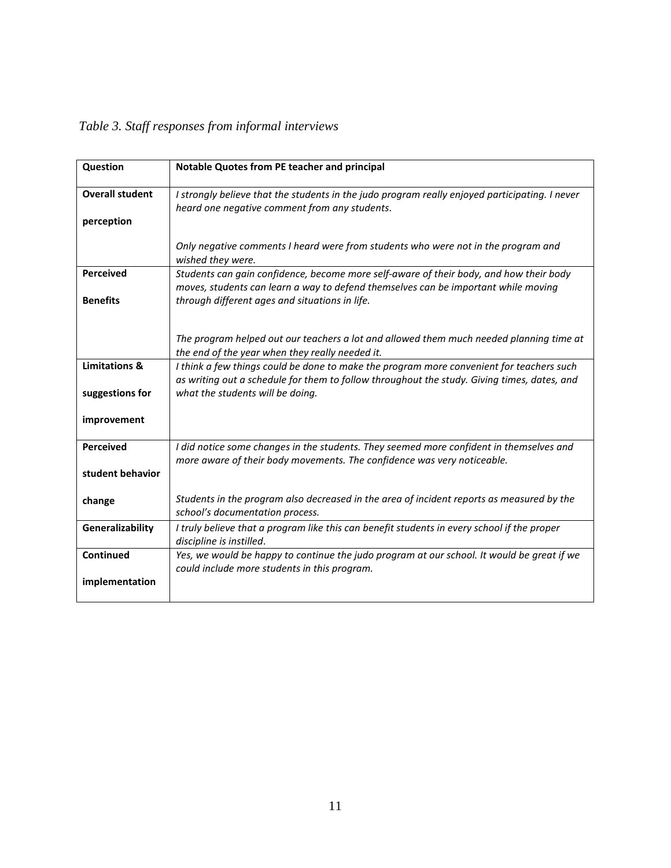<span id="page-18-0"></span>

| Question               | Notable Quotes from PE teacher and principal                                                                                                                                            |
|------------------------|-----------------------------------------------------------------------------------------------------------------------------------------------------------------------------------------|
| <b>Overall student</b> | I strongly believe that the students in the judo program really enjoyed participating. I never<br>heard one negative comment from any students.                                         |
| perception             |                                                                                                                                                                                         |
|                        | Only negative comments I heard were from students who were not in the program and<br>wished they were.                                                                                  |
| <b>Perceived</b>       | Students can gain confidence, become more self-aware of their body, and how their body<br>moves, students can learn a way to defend themselves can be important while moving            |
| <b>Benefits</b>        | through different ages and situations in life.                                                                                                                                          |
|                        | The program helped out our teachers a lot and allowed them much needed planning time at<br>the end of the year when they really needed it.                                              |
| Limitations &          | I think a few things could be done to make the program more convenient for teachers such<br>as writing out a schedule for them to follow throughout the study. Giving times, dates, and |
| suggestions for        | what the students will be doing.                                                                                                                                                        |
| improvement            |                                                                                                                                                                                         |
| <b>Perceived</b>       | I did notice some changes in the students. They seemed more confident in themselves and<br>more aware of their body movements. The confidence was very noticeable.                      |
| student behavior       |                                                                                                                                                                                         |
| change                 | Students in the program also decreased in the area of incident reports as measured by the<br>school's documentation process.                                                            |
| Generalizability       | I truly believe that a program like this can benefit students in every school if the proper<br>discipline is instilled.                                                                 |
| Continued              | Yes, we would be happy to continue the judo program at our school. It would be great if we<br>could include more students in this program.                                              |
| implementation         |                                                                                                                                                                                         |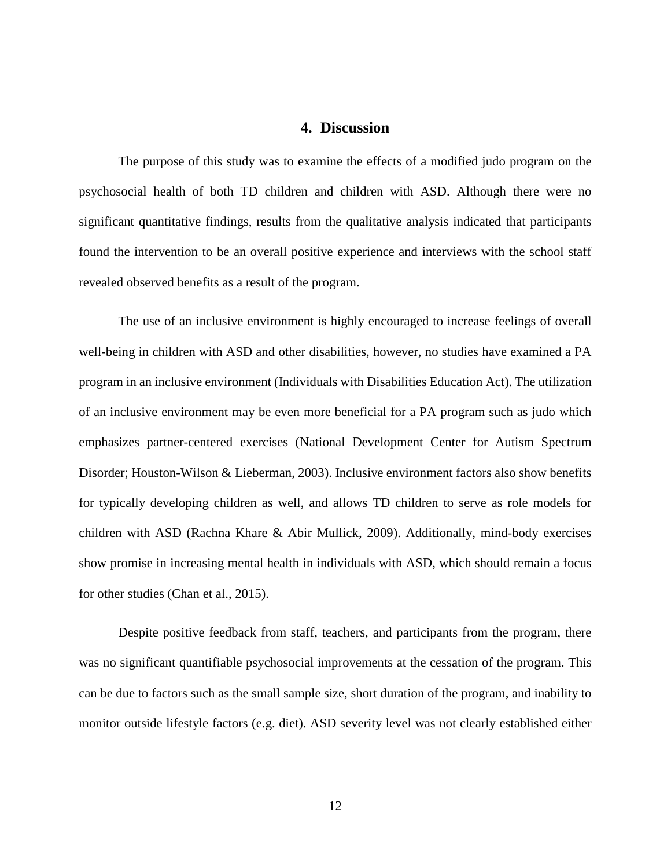### **4. Discussion**

<span id="page-19-0"></span>The purpose of this study was to examine the effects of a modified judo program on the psychosocial health of both TD children and children with ASD. Although there were no significant quantitative findings, results from the qualitative analysis indicated that participants found the intervention to be an overall positive experience and interviews with the school staff revealed observed benefits as a result of the program.

The use of an inclusive environment is highly encouraged to increase feelings of overall well-being in children with ASD and other disabilities, however, no studies have examined a PA program in an inclusive environment (Individuals with Disabilities Education Act). The utilization of an inclusive environment may be even more beneficial for a PA program such as judo which emphasizes partner-centered exercises (National Development Center for Autism Spectrum Disorder; Houston-Wilson & Lieberman, 2003). Inclusive environment factors also show benefits for typically developing children as well, and allows TD children to serve as role models for children with ASD (Rachna Khare & Abir Mullick, 2009). Additionally, mind-body exercises show promise in increasing mental health in individuals with ASD, which should remain a focus for other studies (Chan et al., 2015).

Despite positive feedback from staff, teachers, and participants from the program, there was no significant quantifiable psychosocial improvements at the cessation of the program. This can be due to factors such as the small sample size, short duration of the program, and inability to monitor outside lifestyle factors (e.g. diet). ASD severity level was not clearly established either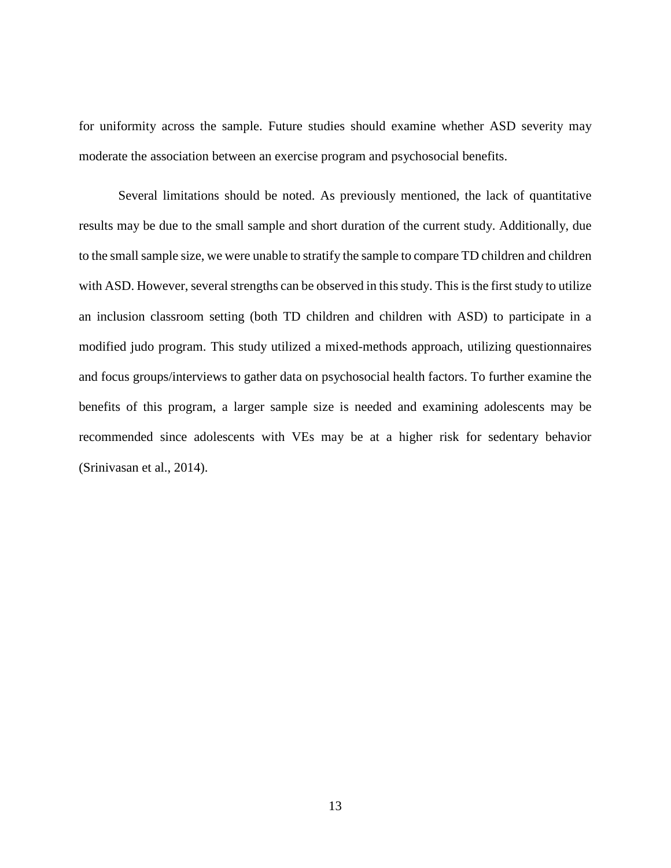for uniformity across the sample. Future studies should examine whether ASD severity may moderate the association between an exercise program and psychosocial benefits.

Several limitations should be noted. As previously mentioned, the lack of quantitative results may be due to the small sample and short duration of the current study. Additionally, due to the small sample size, we were unable to stratify the sample to compare TD children and children with ASD. However, several strengths can be observed in this study. This is the first study to utilize an inclusion classroom setting (both TD children and children with ASD) to participate in a modified judo program. This study utilized a mixed-methods approach, utilizing questionnaires and focus groups/interviews to gather data on psychosocial health factors. To further examine the benefits of this program, a larger sample size is needed and examining adolescents may be recommended since adolescents with VEs may be at a higher risk for sedentary behavior (Srinivasan et al., 2014).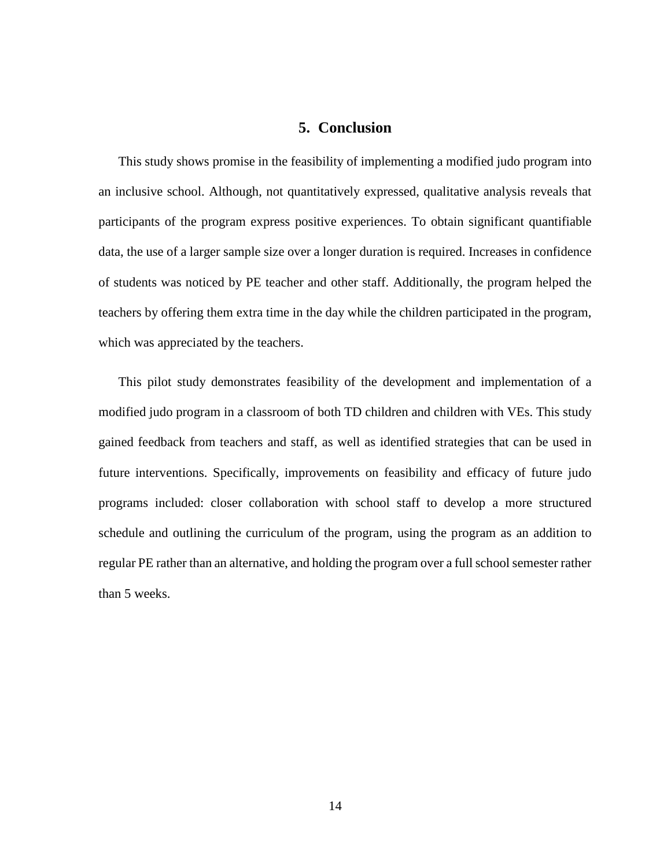# **5. Conclusion**

<span id="page-21-0"></span>This study shows promise in the feasibility of implementing a modified judo program into an inclusive school. Although, not quantitatively expressed, qualitative analysis reveals that participants of the program express positive experiences. To obtain significant quantifiable data, the use of a larger sample size over a longer duration is required. Increases in confidence of students was noticed by PE teacher and other staff. Additionally, the program helped the teachers by offering them extra time in the day while the children participated in the program, which was appreciated by the teachers.

This pilot study demonstrates feasibility of the development and implementation of a modified judo program in a classroom of both TD children and children with VEs. This study gained feedback from teachers and staff, as well as identified strategies that can be used in future interventions. Specifically, improvements on feasibility and efficacy of future judo programs included: closer collaboration with school staff to develop a more structured schedule and outlining the curriculum of the program, using the program as an addition to regular PE rather than an alternative, and holding the program over a full school semester rather than 5 weeks.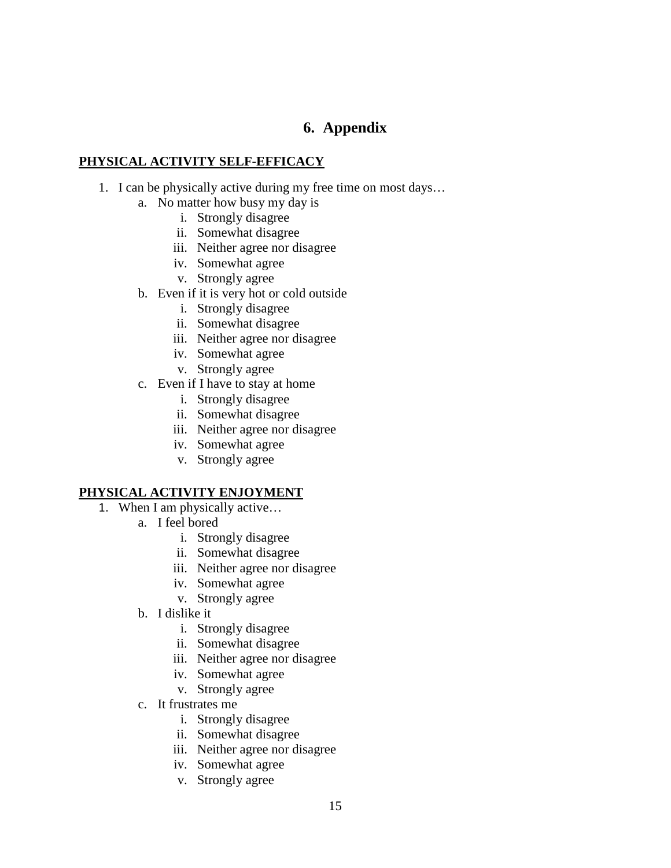# **6. Appendix**

# <span id="page-22-0"></span>**PHYSICAL ACTIVITY SELF-EFFICACY**

- 1. I can be physically active during my free time on most days…
	- a. No matter how busy my day is
		- i. Strongly disagree
		- ii. Somewhat disagree
		- iii. Neither agree nor disagree
		- iv. Somewhat agree
		- v. Strongly agree
	- b. Even if it is very hot or cold outside
		- i. Strongly disagree
		- ii. Somewhat disagree
		- iii. Neither agree nor disagree
		- iv. Somewhat agree
		- v. Strongly agree
	- c. Even if I have to stay at home
		- i. Strongly disagree
		- ii. Somewhat disagree
		- iii. Neither agree nor disagree
		- iv. Somewhat agree
		- v. Strongly agree

# **PHYSICAL ACTIVITY ENJOYMENT**

- 1. When I am physically active…
	- a. I feel bored
		- i. Strongly disagree
		- ii. Somewhat disagree
		- iii. Neither agree nor disagree
		- iv. Somewhat agree
		- v. Strongly agree
	- b. I dislike it
		- i. Strongly disagree
		- ii. Somewhat disagree
		- iii. Neither agree nor disagree
		- iv. Somewhat agree
		- v. Strongly agree
	- c. It frustrates me
		- i. Strongly disagree
		- ii. Somewhat disagree
		- iii. Neither agree nor disagree
		- iv. Somewhat agree
		- v. Strongly agree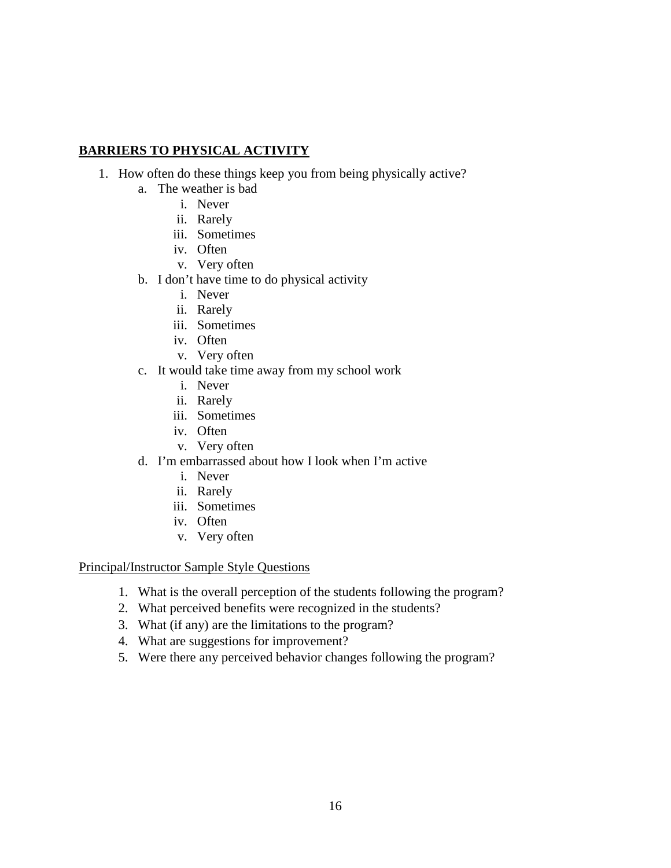# **BARRIERS TO PHYSICAL ACTIVITY**

- 1. How often do these things keep you from being physically active?
	- a. The weather is bad
		- i. Never
		- ii. Rarely
		- iii. Sometimes
		- iv. Often
		- v. Very often
	- b. I don't have time to do physical activity
		- i. Never
		- ii. Rarely
		- iii. Sometimes
		- iv. Often
		- v. Very often
	- c. It would take time away from my school work
		- i. Never
		- ii. Rarely
		- iii. Sometimes
		- iv. Often
		- v. Very often
	- d. I'm embarrassed about how I look when I'm active
		- i. Never
		- ii. Rarely
		- iii. Sometimes
		- iv. Often
		- v. Very often

## Principal/Instructor Sample Style Questions

- 1. What is the overall perception of the students following the program?
- 2. What perceived benefits were recognized in the students?
- 3. What (if any) are the limitations to the program?
- 4. What are suggestions for improvement?
- 5. Were there any perceived behavior changes following the program?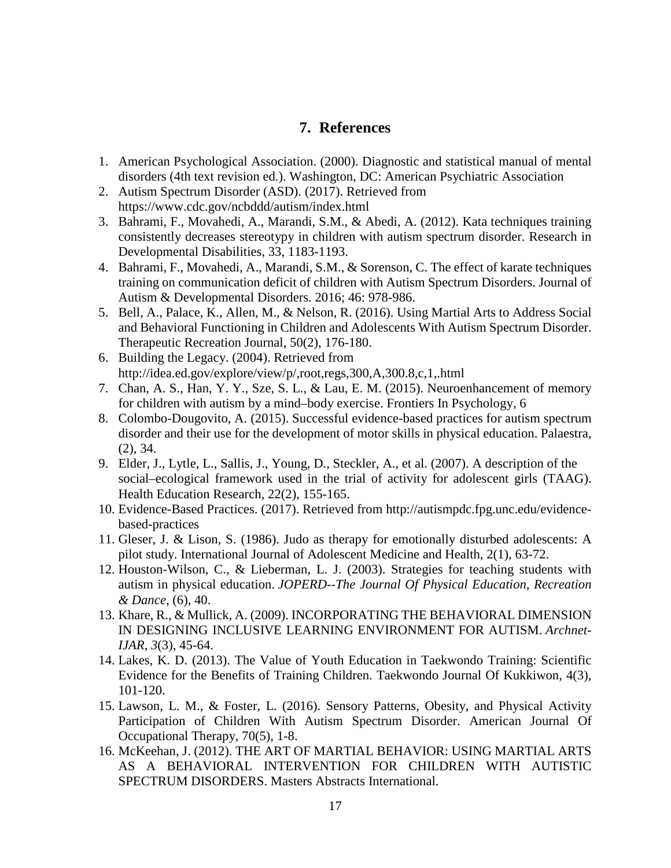# **7. References**

- <span id="page-24-0"></span>1. American Psychological Association. (2000). Diagnostic and statistical manual of mental disorders (4th text revision ed.). Washington, DC: American Psychiatric Association
- 2. Autism Spectrum Disorder (ASD). (2017). Retrieved from https://www.cdc.gov/ncbddd/autism/index.html
- 3. Bahrami, F., Movahedi, A., Marandi, S.M., & Abedi, A. (2012). Kata techniques training consistently decreases stereotypy in children with autism spectrum disorder. Research in Developmental Disabilities, 33, 1183-1193.
- 4. Bahrami, F., Movahedi, A., Marandi, S.M., & Sorenson, C. The effect of karate techniques training on communication deficit of children with Autism Spectrum Disorders. Journal of Autism & Developmental Disorders. 2016; 46: 978-986.
- 5. Bell, A., Palace, K., Allen, M., & Nelson, R. (2016). Using Martial Arts to Address Social and Behavioral Functioning in Children and Adolescents With Autism Spectrum Disorder. Therapeutic Recreation Journal, 50(2), 176-180.
- 6. Building the Legacy. (2004). Retrieved from http://idea.ed.gov/explore/view/p/,root,regs,300,A,300.8,c,1,.html
- 7. Chan, A. S., Han, Y. Y., Sze, S. L., & Lau, E. M. (2015). Neuroenhancement of memory for children with autism by a mind–body exercise. Frontiers In Psychology, 6
- 8. Colombo-Dougovito, A. (2015). Successful evidence-based practices for autism spectrum disorder and their use for the development of motor skills in physical education. Palaestra, (2), 34.
- 9. Elder, J., Lytle, L., Sallis, J., Young, D., Steckler, A., et al. (2007). A description of the social–ecological framework used in the trial of activity for adolescent girls (TAAG). Health Education Research, 22(2), 155-165.
- 10. Evidence-Based Practices. (2017). Retrieved from http://autismpdc.fpg.unc.edu/evidencebased-practices
- 11. Gleser, J. & Lison, S. (1986). Judo as therapy for emotionally disturbed adolescents: A pilot study. International Journal of Adolescent Medicine and Health, 2(1), 63-72.
- 12. Houston-Wilson, C., & Lieberman, L. J. (2003). Strategies for teaching students with autism in physical education. *JOPERD--The Journal Of Physical Education, Recreation & Dance*, (6), 40.
- 13. Khare, R., & Mullick, A. (2009). INCORPORATING THE BEHAVIORAL DIMENSION IN DESIGNING INCLUSIVE LEARNING ENVIRONMENT FOR AUTISM. *Archnet-IJAR*, *3*(3), 45-64.
- 14. Lakes, K. D. (2013). The Value of Youth Education in Taekwondo Training: Scientific Evidence for the Benefits of Training Children. Taekwondo Journal Of Kukkiwon, 4(3), 101-120.
- 15. Lawson, L. M., & Foster, L. (2016). Sensory Patterns, Obesity, and Physical Activity Participation of Children With Autism Spectrum Disorder. American Journal Of Occupational Therapy, 70(5), 1-8.
- 16. McKeehan, J. (2012). THE ART OF MARTIAL BEHAVIOR: USING MARTIAL ARTS AS A BEHAVIORAL INTERVENTION FOR CHILDREN WITH AUTISTIC SPECTRUM DISORDERS. Masters Abstracts International.